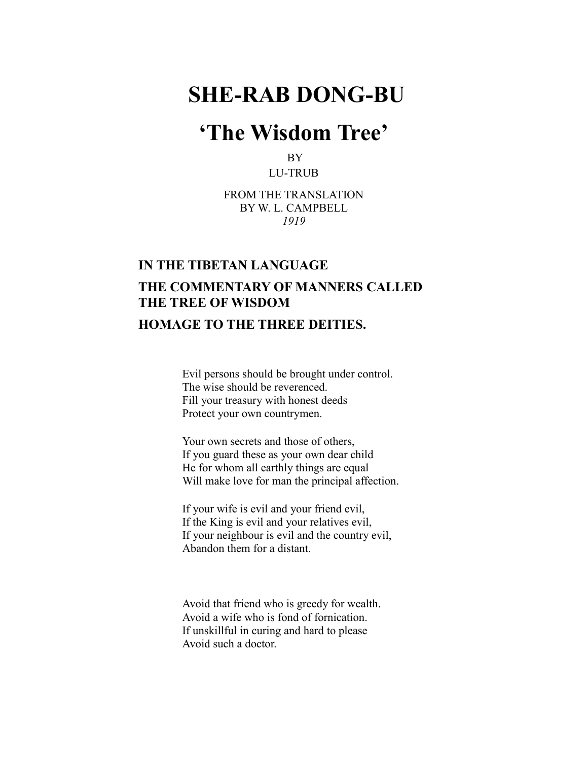# **SHE-RAB DONG-BU**

## **'The Wisdom Tree'**

BY LU-TRUB

FROM THE TRANSLATION BY W. L. CAMPBELL *1919*

#### **IN THE TIBETAN LANGUAGE**

## **THE COMMENTARY OF MANNERS CALLED THE TREE OF WISDOM**

### **HOMAGE TO THE THREE DEITIES.**

Evil persons should be brought under control. The wise should be reverenced. Fill your treasury with honest deeds Protect your own countrymen.

Your own secrets and those of others, If you guard these as your own dear child He for whom all earthly things are equal Will make love for man the principal affection.

If your wife is evil and your friend evil, If the King is evil and your relatives evil, If your neighbour is evil and the country evil, Abandon them for a distant.

Avoid that friend who is greedy for wealth. Avoid a wife who is fond of fornication. If unskillful in curing and hard to please Avoid such a doctor.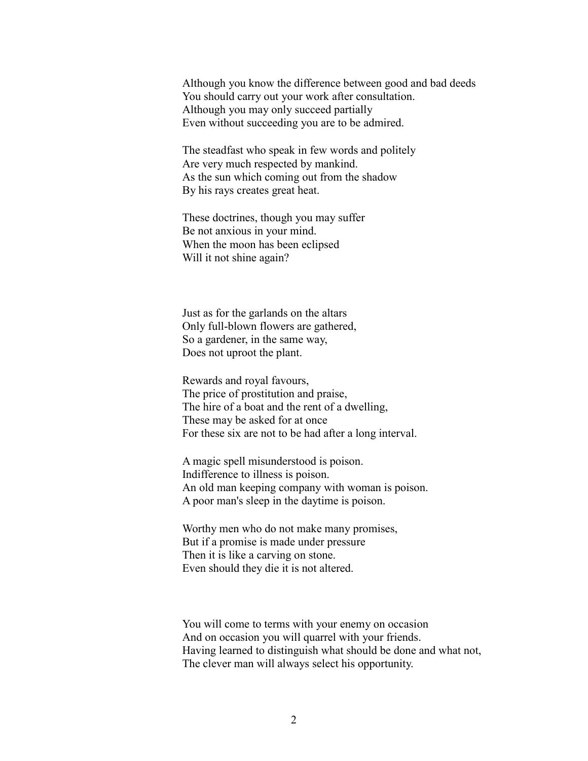Although you know the difference between good and bad deeds You should carry out your work after consultation. Although you may only succeed partially Even without succeeding you are to be admired.

The steadfast who speak in few words and politely Are very much respected by mankind. As the sun which coming out from the shadow By his rays creates great heat.

These doctrines, though you may suffer Be not anxious in your mind. When the moon has been eclipsed Will it not shine again?

Just as for the garlands on the altars Only full-blown flowers are gathered, So a gardener, in the same way, Does not uproot the plant.

Rewards and royal favours, The price of prostitution and praise, The hire of a boat and the rent of a dwelling, These may be asked for at once For these six are not to be had after a long interval.

A magic spell misunderstood is poison. Indifference to illness is poison. An old man keeping company with woman is poison. A poor man's sleep in the daytime is poison.

Worthy men who do not make many promises, But if a promise is made under pressure Then it is like a carving on stone. Even should they die it is not altered.

You will come to terms with your enemy on occasion And on occasion you will quarrel with your friends. Having learned to distinguish what should be done and what not, The clever man will always select his opportunity.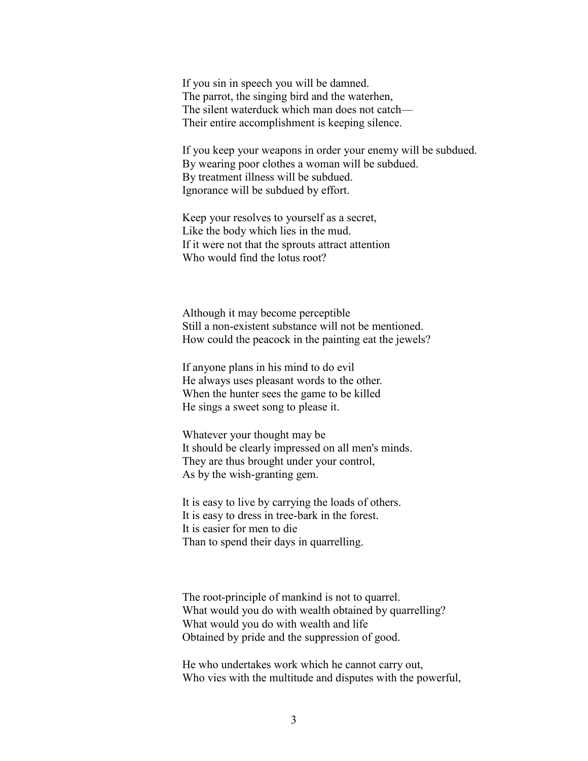If you sin in speech you will be damned. The parrot, the singing bird and the waterhen, The silent waterduck which man does not catch— Their entire accomplishment is keeping silence.

If you keep your weapons in order your enemy will be subdued. By wearing poor clothes a woman will be subdued. By treatment illness will be subdued. Ignorance will be subdued by effort.

Keep your resolves to yourself as a secret, Like the body which lies in the mud. If it were not that the sprouts attract attention Who would find the lotus root?

Although it may become perceptible Still a non-existent substance will not be mentioned. How could the peacock in the painting eat the jewels?

If anyone plans in his mind to do evil He always uses pleasant words to the other. When the hunter sees the game to be killed He sings a sweet song to please it.

Whatever your thought may be It should be clearly impressed on all men's minds. They are thus brought under your control, As by the wish-granting gem.

It is easy to live by carrying the loads of others. It is easy to dress in tree-bark in the forest. It is easier for men to die Than to spend their days in quarrelling.

The root-principle of mankind is not to quarrel. What would you do with wealth obtained by quarrelling? What would you do with wealth and life Obtained by pride and the suppression of good.

He who undertakes work which he cannot carry out, Who vies with the multitude and disputes with the powerful,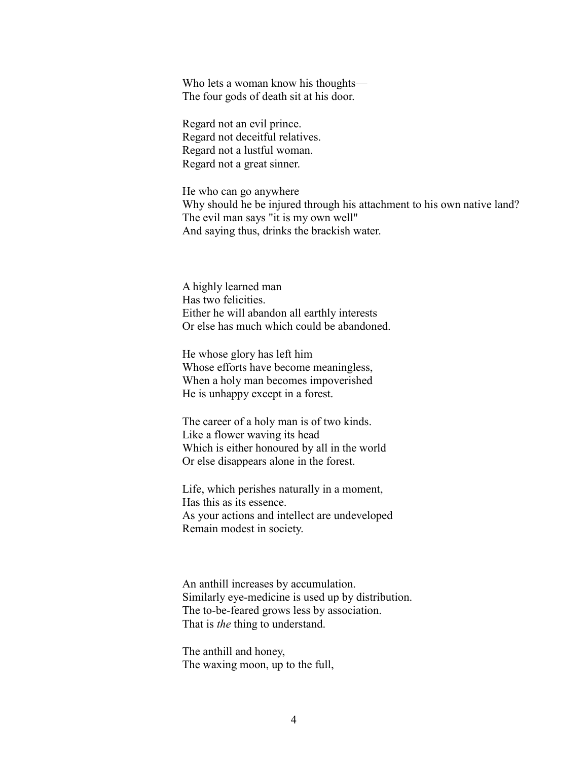Who lets a woman know his thoughts— The four gods of death sit at his door.

Regard not an evil prince. Regard not deceitful relatives. Regard not a lustful woman. Regard not a great sinner.

He who can go anywhere Why should he be injured through his attachment to his own native land? The evil man says "it is my own well" And saying thus, drinks the brackish water.

A highly learned man Has two felicities. Either he will abandon all earthly interests Or else has much which could be abandoned.

He whose glory has left him Whose efforts have become meaningless, When a holy man becomes impoverished He is unhappy except in a forest.

The career of a holy man is of two kinds. Like a flower waving its head Which is either honoured by all in the world Or else disappears alone in the forest.

Life, which perishes naturally in a moment, Has this as its essence. As your actions and intellect are undeveloped Remain modest in society.

An anthill increases by accumulation. Similarly eye-medicine is used up by distribution. The to-be-feared grows less by association. That is *the* thing to understand.

The anthill and honey, The waxing moon, up to the full,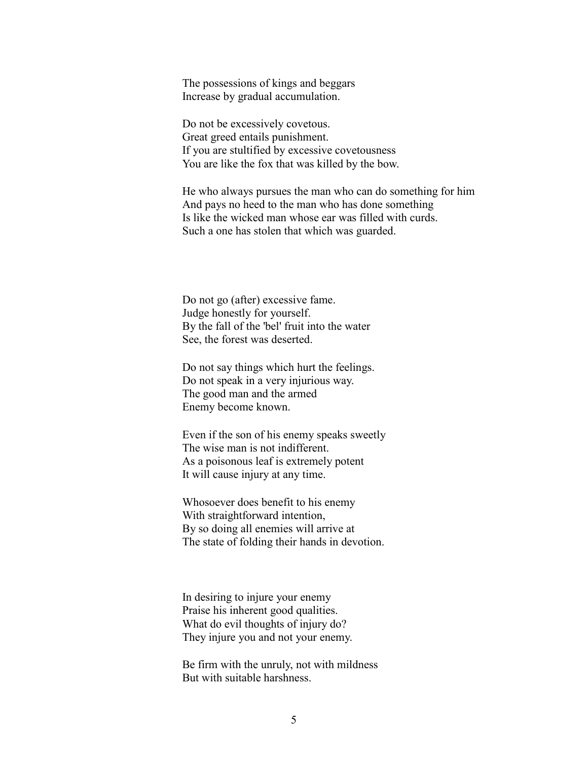The possessions of kings and beggars Increase by gradual accumulation.

Do not be excessively covetous. Great greed entails punishment. If you are stultified by excessive covetousness You are like the fox that was killed by the bow.

He who always pursues the man who can do something for him And pays no heed to the man who has done something Is like the wicked man whose ear was filled with curds. Such a one has stolen that which was guarded.

Do not go (after) excessive fame. Judge honestly for yourself. By the fall of the 'bel' fruit into the water See, the forest was deserted.

Do not say things which hurt the feelings. Do not speak in a very injurious way. The good man and the armed Enemy become known.

Even if the son of his enemy speaks sweetly The wise man is not indifferent. As a poisonous leaf is extremely potent It will cause injury at any time.

Whosoever does benefit to his enemy With straightforward intention, By so doing all enemies will arrive at The state of folding their hands in devotion.

In desiring to injure your enemy Praise his inherent good qualities. What do evil thoughts of injury do? They injure you and not your enemy.

Be firm with the unruly, not with mildness But with suitable harshness.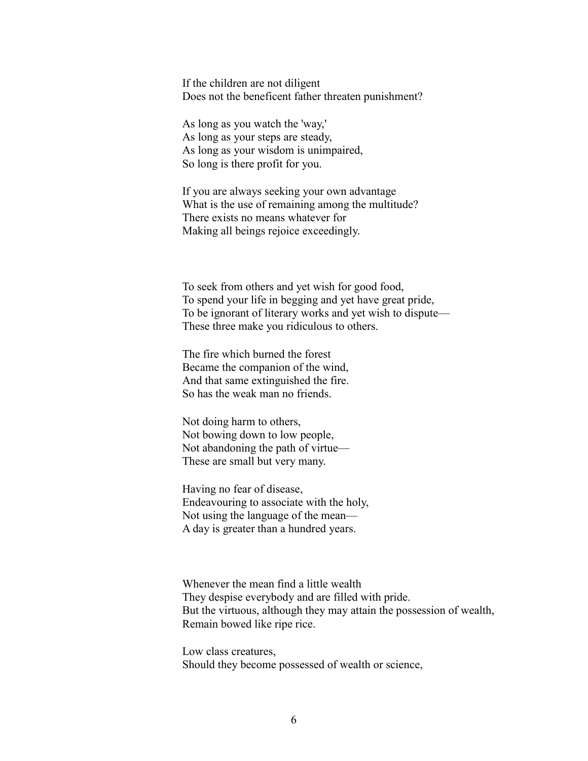If the children are not diligent Does not the beneficent father threaten punishment?

As long as you watch the 'way,' As long as your steps are steady, As long as your wisdom is unimpaired, So long is there profit for you.

If you are always seeking your own advantage What is the use of remaining among the multitude? There exists no means whatever for Making all beings rejoice exceedingly.

To seek from others and yet wish for good food, To spend your life in begging and yet have great pride, To be ignorant of literary works and yet wish to dispute— These three make you ridiculous to others.

The fire which burned the forest Became the companion of the wind, And that same extinguished the fire. So has the weak man no friends.

Not doing harm to others, Not bowing down to low people, Not abandoning the path of virtue— These are small but very many.

Having no fear of disease, Endeavouring to associate with the holy, Not using the language of the mean— A day is greater than a hundred years.

Whenever the mean find a little wealth They despise everybody and are filled with pride. But the virtuous, although they may attain the possession of wealth, Remain bowed like ripe rice.

Low class creatures, Should they become possessed of wealth or science,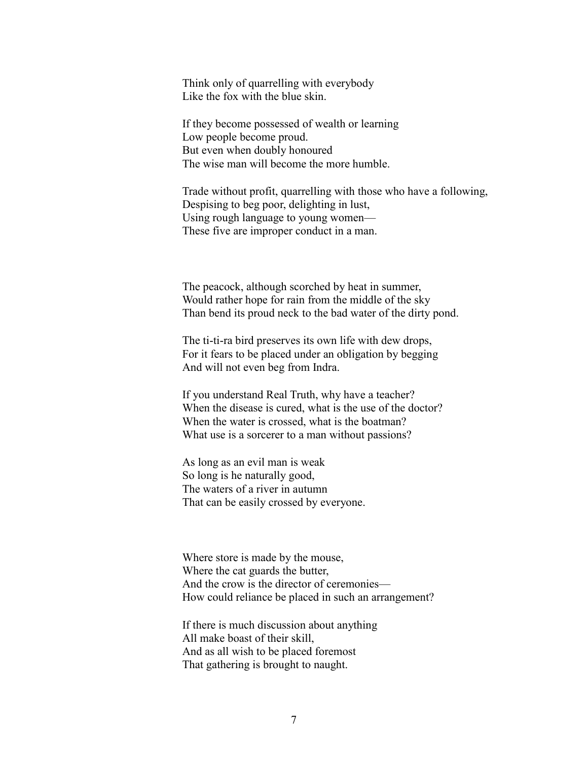Think only of quarrelling with everybody Like the fox with the blue skin.

If they become possessed of wealth or learning Low people become proud. But even when doubly honoured The wise man will become the more humble.

Trade without profit, quarrelling with those who have a following, Despising to beg poor, delighting in lust, Using rough language to young women— These five are improper conduct in a man.

The peacock, although scorched by heat in summer, Would rather hope for rain from the middle of the sky Than bend its proud neck to the bad water of the dirty pond.

The ti-ti-ra bird preserves its own life with dew drops, For it fears to be placed under an obligation by begging And will not even beg from Indra.

If you understand Real Truth, why have a teacher? When the disease is cured, what is the use of the doctor? When the water is crossed, what is the boatman? What use is a sorcerer to a man without passions?

As long as an evil man is weak So long is he naturally good, The waters of a river in autumn That can be easily crossed by everyone.

Where store is made by the mouse, Where the cat guards the butter, And the crow is the director of ceremonies— How could reliance be placed in such an arrangement?

If there is much discussion about anything All make boast of their skill, And as all wish to be placed foremost That gathering is brought to naught.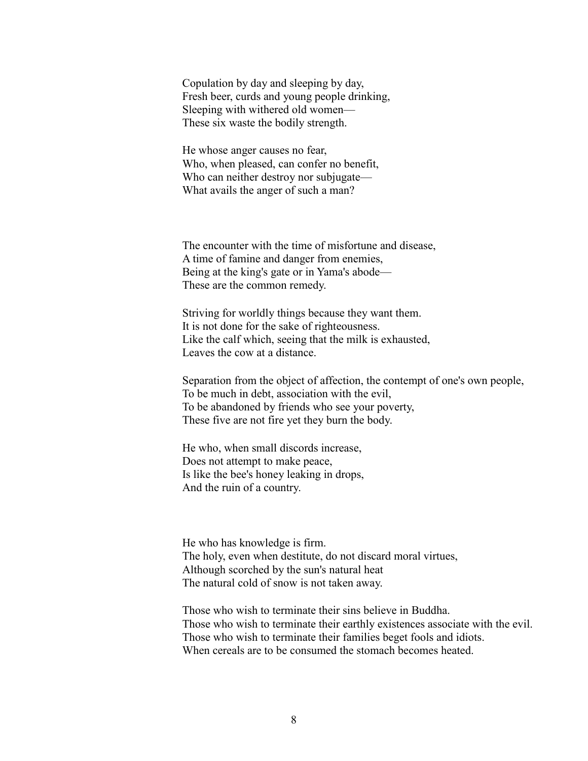Copulation by day and sleeping by day, Fresh beer, curds and young people drinking, Sleeping with withered old women— These six waste the bodily strength.

He whose anger causes no fear, Who, when pleased, can confer no benefit, Who can neither destroy nor subjugate— What avails the anger of such a man?

The encounter with the time of misfortune and disease, A time of famine and danger from enemies, Being at the king's gate or in Yama's abode— These are the common remedy.

Striving for worldly things because they want them. It is not done for the sake of righteousness. Like the calf which, seeing that the milk is exhausted, Leaves the cow at a distance.

Separation from the object of affection, the contempt of one's own people, To be much in debt, association with the evil, To be abandoned by friends who see your poverty, These five are not fire yet they burn the body.

He who, when small discords increase, Does not attempt to make peace, Is like the bee's honey leaking in drops, And the ruin of a country.

He who has knowledge is firm. The holy, even when destitute, do not discard moral virtues, Although scorched by the sun's natural heat The natural cold of snow is not taken away.

Those who wish to terminate their sins believe in Buddha. Those who wish to terminate their earthly existences associate with the evil. Those who wish to terminate their families beget fools and idiots. When cereals are to be consumed the stomach becomes heated.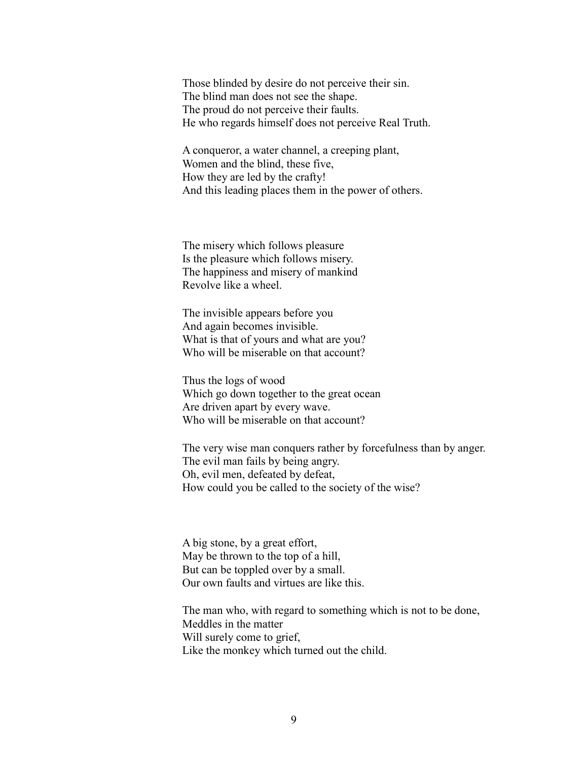Those blinded by desire do not perceive their sin. The blind man does not see the shape. The proud do not perceive their faults. He who regards himself does not perceive Real Truth.

A conqueror, a water channel, a creeping plant, Women and the blind, these five, How they are led by the crafty! And this leading places them in the power of others.

The misery which follows pleasure Is the pleasure which follows misery. The happiness and misery of mankind Revolve like a wheel.

The invisible appears before you And again becomes invisible. What is that of yours and what are you? Who will be miserable on that account?

Thus the logs of wood Which go down together to the great ocean Are driven apart by every wave. Who will be miserable on that account?

The very wise man conquers rather by forcefulness than by anger. The evil man fails by being angry. Oh, evil men, defeated by defeat, How could you be called to the society of the wise?

A big stone, by a great effort, May be thrown to the top of a hill, But can be toppled over by a small. Our own faults and virtues are like this.

The man who, with regard to something which is not to be done, Meddles in the matter Will surely come to grief, Like the monkey which turned out the child.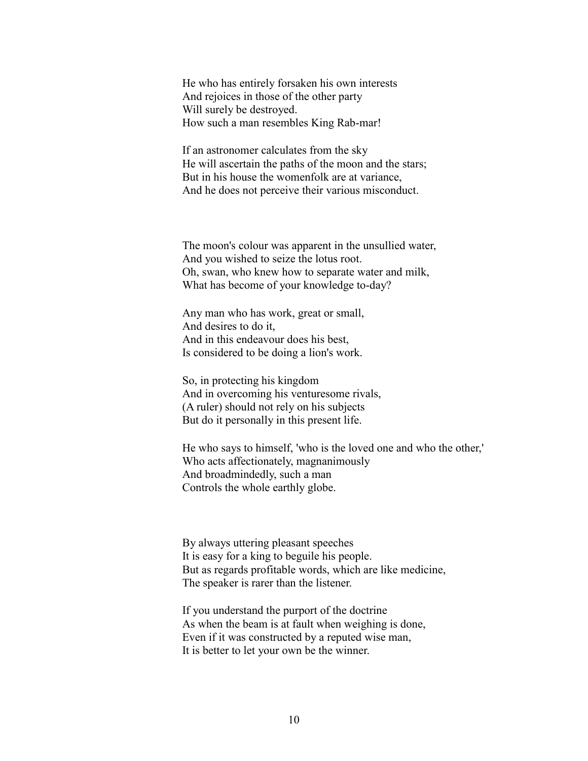He who has entirely forsaken his own interests And rejoices in those of the other party Will surely be destroyed. How such a man resembles King Rab-mar!

If an astronomer calculates from the sky He will ascertain the paths of the moon and the stars; But in his house the womenfolk are at variance, And he does not perceive their various misconduct.

The moon's colour was apparent in the unsullied water, And you wished to seize the lotus root. Oh, swan, who knew how to separate water and milk, What has become of your knowledge to-day?

Any man who has work, great or small, And desires to do it, And in this endeavour does his best, Is considered to be doing a lion's work.

So, in protecting his kingdom And in overcoming his venturesome rivals, (A ruler) should not rely on his subjects But do it personally in this present life.

He who says to himself, 'who is the loved one and who the other,' Who acts affectionately, magnanimously And broadmindedly, such a man Controls the whole earthly globe.

By always uttering pleasant speeches It is easy for a king to beguile his people. But as regards profitable words, which are like medicine, The speaker is rarer than the listener.

If you understand the purport of the doctrine As when the beam is at fault when weighing is done, Even if it was constructed by a reputed wise man, It is better to let your own be the winner.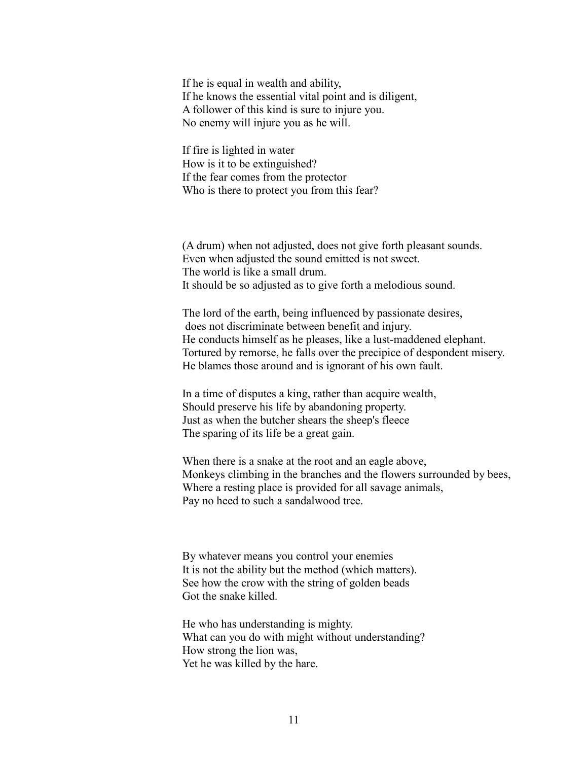If he is equal in wealth and ability, If he knows the essential vital point and is diligent, A follower of this kind is sure to injure you. No enemy will injure you as he will.

If fire is lighted in water How is it to be extinguished? If the fear comes from the protector Who is there to protect you from this fear?

(A drum) when not adjusted, does not give forth pleasant sounds. Even when adjusted the sound emitted is not sweet. The world is like a small drum. It should be so adjusted as to give forth a melodious sound.

The lord of the earth, being influenced by passionate desires, does not discriminate between benefit and injury. He conducts himself as he pleases, like a lust-maddened elephant. Tortured by remorse, he falls over the precipice of despondent misery. He blames those around and is ignorant of his own fault.

In a time of disputes a king, rather than acquire wealth, Should preserve his life by abandoning property. Just as when the butcher shears the sheep's fleece The sparing of its life be a great gain.

When there is a snake at the root and an eagle above, Monkeys climbing in the branches and the flowers surrounded by bees, Where a resting place is provided for all savage animals, Pay no heed to such a sandalwood tree.

By whatever means you control your enemies It is not the ability but the method (which matters). See how the crow with the string of golden beads Got the snake killed.

He who has understanding is mighty. What can you do with might without understanding? How strong the lion was, Yet he was killed by the hare.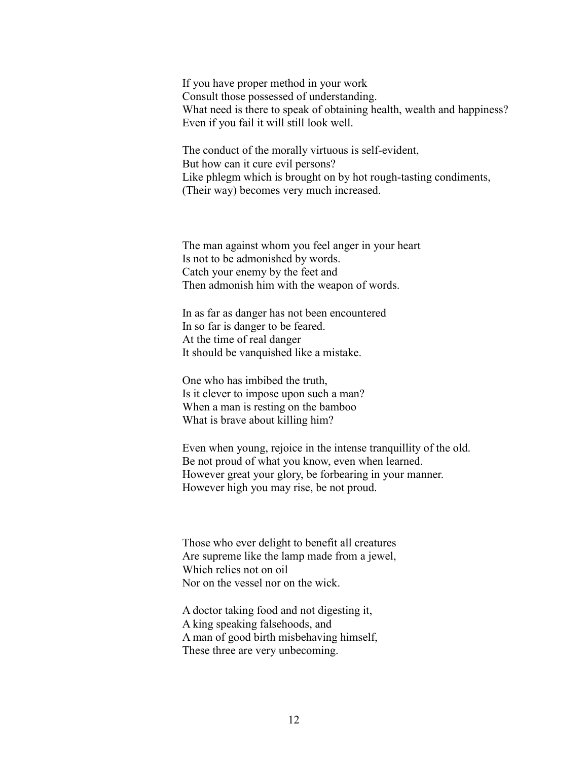If you have proper method in your work Consult those possessed of understanding. What need is there to speak of obtaining health, wealth and happiness? Even if you fail it will still look well.

The conduct of the morally virtuous is self-evident, But how can it cure evil persons? Like phlegm which is brought on by hot rough-tasting condiments, (Their way) becomes very much increased.

The man against whom you feel anger in your heart Is not to be admonished by words. Catch your enemy by the feet and Then admonish him with the weapon of words.

In as far as danger has not been encountered In so far is danger to be feared. At the time of real danger It should be vanquished like a mistake.

One who has imbibed the truth, Is it clever to impose upon such a man? When a man is resting on the bamboo What is brave about killing him?

Even when young, rejoice in the intense tranquillity of the old. Be not proud of what you know, even when learned. However great your glory, be forbearing in your manner. However high you may rise, be not proud.

Those who ever delight to benefit all creatures Are supreme like the lamp made from a jewel, Which relies not on oil Nor on the vessel nor on the wick.

A doctor taking food and not digesting it, A king speaking falsehoods, and A man of good birth misbehaving himself, These three are very unbecoming.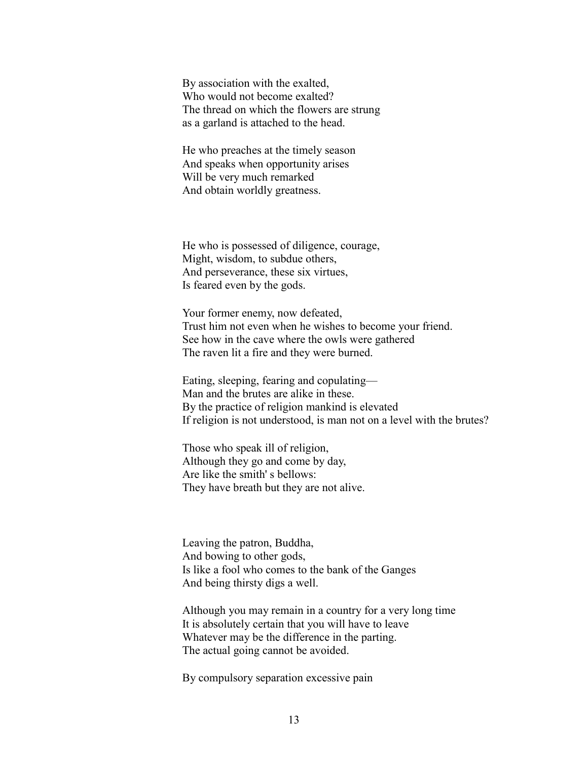By association with the exalted, Who would not become exalted? The thread on which the flowers are strung as a garland is attached to the head.

He who preaches at the timely season And speaks when opportunity arises Will be very much remarked And obtain worldly greatness.

He who is possessed of diligence, courage, Might, wisdom, to subdue others, And perseverance, these six virtues, Is feared even by the gods.

Your former enemy, now defeated, Trust him not even when he wishes to become your friend. See how in the cave where the owls were gathered The raven lit a fire and they were burned.

Eating, sleeping, fearing and copulating— Man and the brutes are alike in these. By the practice of religion mankind is elevated If religion is not understood, is man not on a level with the brutes?

Those who speak ill of religion, Although they go and come by day, Are like the smith' s bellows: They have breath but they are not alive.

Leaving the patron, Buddha, And bowing to other gods, Is like a fool who comes to the bank of the Ganges And being thirsty digs a well.

Although you may remain in a country for a very long time It is absolutely certain that you will have to leave Whatever may be the difference in the parting. The actual going cannot be avoided.

By compulsory separation excessive pain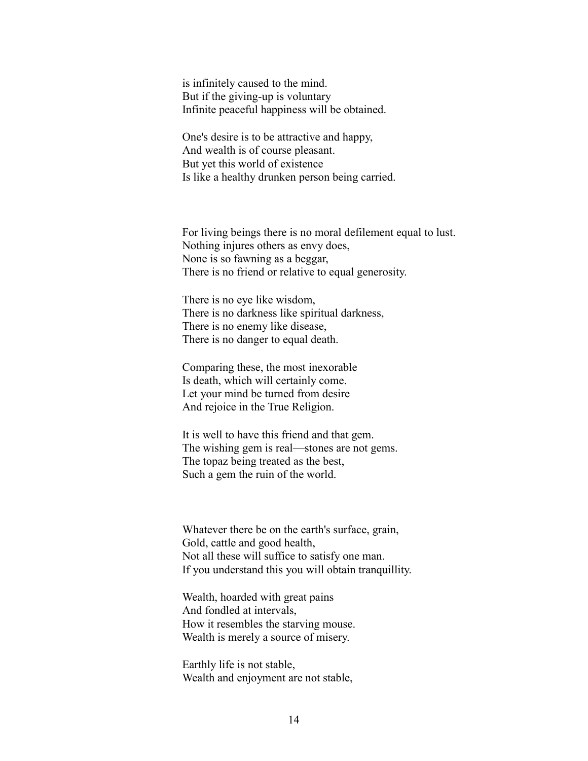is infinitely caused to the mind. But if the giving-up is voluntary Infinite peaceful happiness will be obtained.

One's desire is to be attractive and happy, And wealth is of course pleasant. But yet this world of existence Is like a healthy drunken person being carried.

For living beings there is no moral defilement equal to lust. Nothing injures others as envy does, None is so fawning as a beggar, There is no friend or relative to equal generosity.

There is no eye like wisdom, There is no darkness like spiritual darkness, There is no enemy like disease, There is no danger to equal death.

Comparing these, the most inexorable Is death, which will certainly come. Let your mind be turned from desire And rejoice in the True Religion.

It is well to have this friend and that gem. The wishing gem is real—stones are not gems. The topaz being treated as the best, Such a gem the ruin of the world.

Whatever there be on the earth's surface, grain, Gold, cattle and good health, Not all these will suffice to satisfy one man. If you understand this you will obtain tranquillity.

Wealth, hoarded with great pains And fondled at intervals, How it resembles the starving mouse. Wealth is merely a source of misery.

Earthly life is not stable, Wealth and enjoyment are not stable,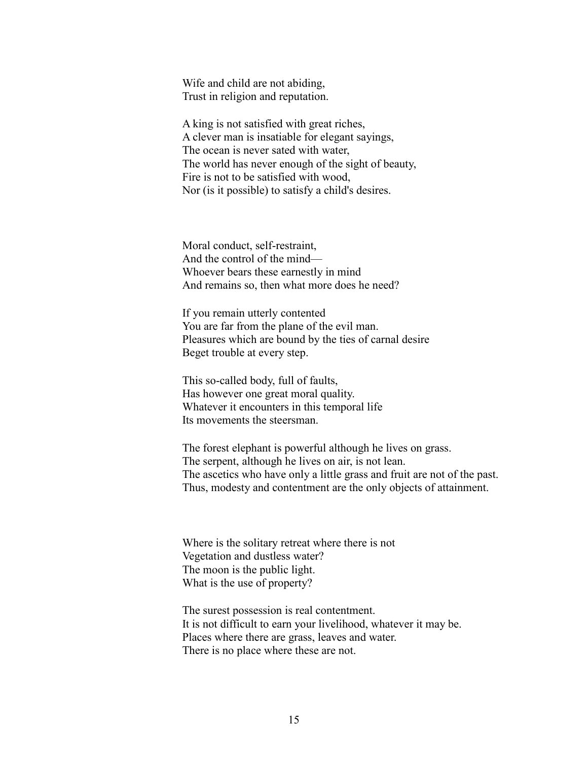Wife and child are not abiding, Trust in religion and reputation.

A king is not satisfied with great riches, A clever man is insatiable for elegant sayings, The ocean is never sated with water, The world has never enough of the sight of beauty, Fire is not to be satisfied with wood, Nor (is it possible) to satisfy a child's desires.

Moral conduct, self-restraint, And the control of the mind— Whoever bears these earnestly in mind And remains so, then what more does he need?

If you remain utterly contented You are far from the plane of the evil man. Pleasures which are bound by the ties of carnal desire Beget trouble at every step.

This so-called body, full of faults, Has however one great moral quality. Whatever it encounters in this temporal life Its movements the steersman.

The forest elephant is powerful although he lives on grass. The serpent, although he lives on air, is not lean. The ascetics who have only a little grass and fruit are not of the past. Thus, modesty and contentment are the only objects of attainment.

Where is the solitary retreat where there is not Vegetation and dustless water? The moon is the public light. What is the use of property?

The surest possession is real contentment. It is not difficult to earn your livelihood, whatever it may be. Places where there are grass, leaves and water. There is no place where these are not.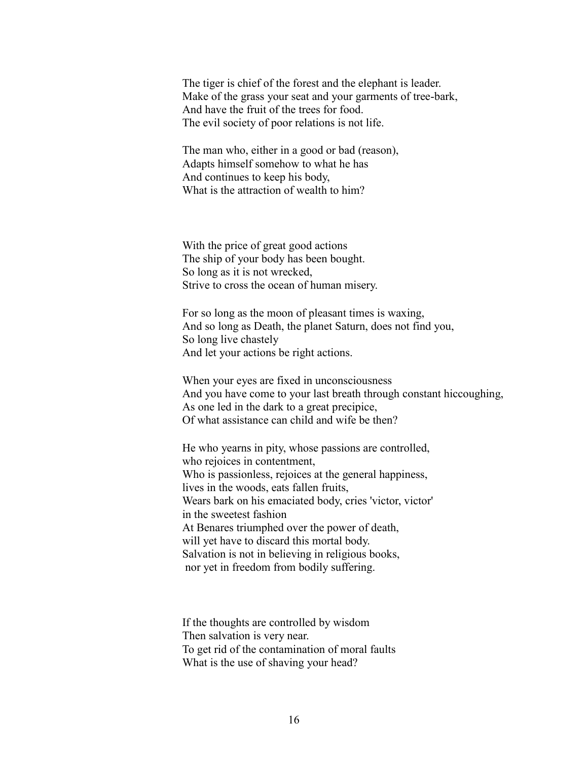The tiger is chief of the forest and the elephant is leader. Make of the grass your seat and your garments of tree-bark, And have the fruit of the trees for food. The evil society of poor relations is not life.

The man who, either in a good or bad (reason), Adapts himself somehow to what he has And continues to keep his body, What is the attraction of wealth to him?

With the price of great good actions The ship of your body has been bought. So long as it is not wrecked, Strive to cross the ocean of human misery.

For so long as the moon of pleasant times is waxing, And so long as Death, the planet Saturn, does not find you, So long live chastely And let your actions be right actions.

When your eyes are fixed in unconsciousness And you have come to your last breath through constant hiccoughing, As one led in the dark to a great precipice, Of what assistance can child and wife be then?

He who yearns in pity, whose passions are controlled, who rejoices in contentment, Who is passionless, rejoices at the general happiness, lives in the woods, eats fallen fruits, Wears bark on his emaciated body, cries 'victor, victor' in the sweetest fashion At Benares triumphed over the power of death, will yet have to discard this mortal body. Salvation is not in believing in religious books, nor yet in freedom from bodily suffering.

If the thoughts are controlled by wisdom Then salvation is very near. To get rid of the contamination of moral faults What is the use of shaving your head?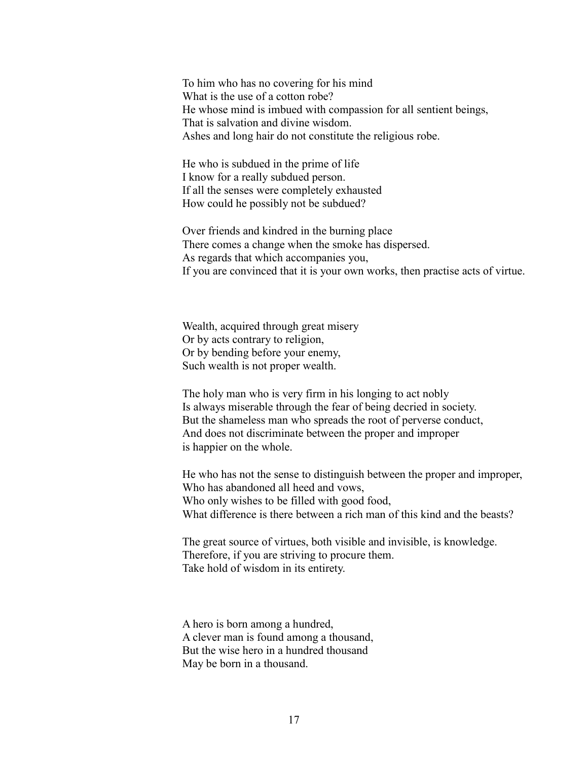To him who has no covering for his mind What is the use of a cotton robe? He whose mind is imbued with compassion for all sentient beings, That is salvation and divine wisdom. Ashes and long hair do not constitute the religious robe.

He who is subdued in the prime of life I know for a really subdued person. If all the senses were completely exhausted How could he possibly not be subdued?

Over friends and kindred in the burning place There comes a change when the smoke has dispersed. As regards that which accompanies you, If you are convinced that it is your own works, then practise acts of virtue.

Wealth, acquired through great misery Or by acts contrary to religion, Or by bending before your enemy, Such wealth is not proper wealth.

The holy man who is very firm in his longing to act nobly Is always miserable through the fear of being decried in society. But the shameless man who spreads the root of perverse conduct, And does not discriminate between the proper and improper is happier on the whole.

He who has not the sense to distinguish between the proper and improper, Who has abandoned all heed and vows, Who only wishes to be filled with good food, What difference is there between a rich man of this kind and the beasts?

The great source of virtues, both visible and invisible, is knowledge. Therefore, if you are striving to procure them. Take hold of wisdom in its entirety.

A hero is born among a hundred, A clever man is found among a thousand, But the wise hero in a hundred thousand May be born in a thousand.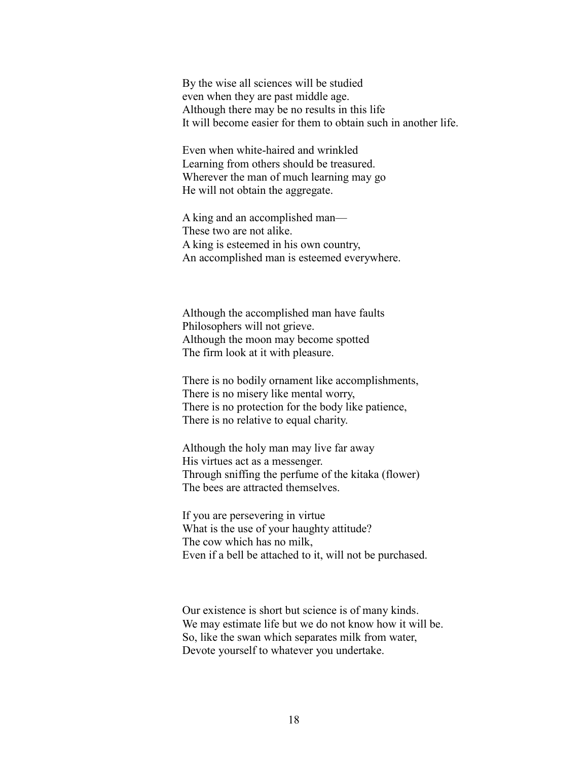By the wise all sciences will be studied even when they are past middle age. Although there may be no results in this life It will become easier for them to obtain such in another life.

Even when white-haired and wrinkled Learning from others should be treasured. Wherever the man of much learning may go He will not obtain the aggregate.

A king and an accomplished man— These two are not alike. A king is esteemed in his own country, An accomplished man is esteemed everywhere.

Although the accomplished man have faults Philosophers will not grieve. Although the moon may become spotted The firm look at it with pleasure.

There is no bodily ornament like accomplishments, There is no misery like mental worry, There is no protection for the body like patience, There is no relative to equal charity.

Although the holy man may live far away His virtues act as a messenger. Through sniffing the perfume of the kitaka (flower) The bees are attracted themselves.

If you are persevering in virtue What is the use of your haughty attitude? The cow which has no milk, Even if a bell be attached to it, will not be purchased.

Our existence is short but science is of many kinds. We may estimate life but we do not know how it will be. So, like the swan which separates milk from water, Devote yourself to whatever you undertake.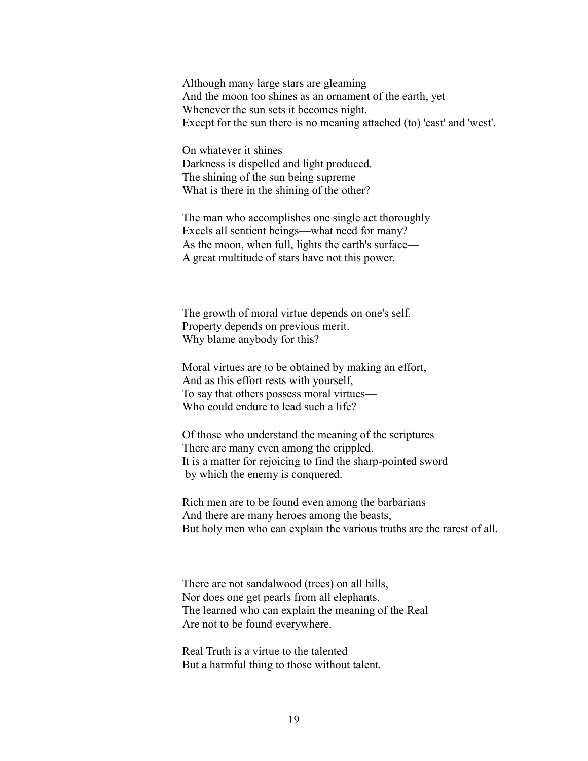Although many large stars are gleaming And the moon too shines as an ornament of the earth, yet Whenever the sun sets it becomes night. Except for the sun there is no meaning attached (to) 'east' and 'west'.

On whatever it shines Darkness is dispelled and light produced. The shining of the sun being supreme What is there in the shining of the other?

The man who accomplishes one single act thoroughly Excels all sentient beings—what need for many? As the moon, when full, lights the earth's surface— A great multitude of stars have not this power.

The growth of moral virtue depends on one's self. Property depends on previous merit. Why blame anybody for this?

Moral virtues are to be obtained by making an effort, And as this effort rests with yourself, To say that others possess moral virtues— Who could endure to lead such a life?

Of those who understand the meaning of the scriptures There are many even among the crippled. It is a matter for rejoicing to find the sharp-pointed sword by which the enemy is conquered.

Rich men are to be found even among the barbarians And there are many heroes among the beasts, But holy men who can explain the various truths are the rarest of all.

There are not sandalwood (trees) on all hills, Nor does one get pearls from all elephants. The learned who can explain the meaning of the Real Are not to be found everywhere.

Real Truth is a virtue to the talented But a harmful thing to those without talent.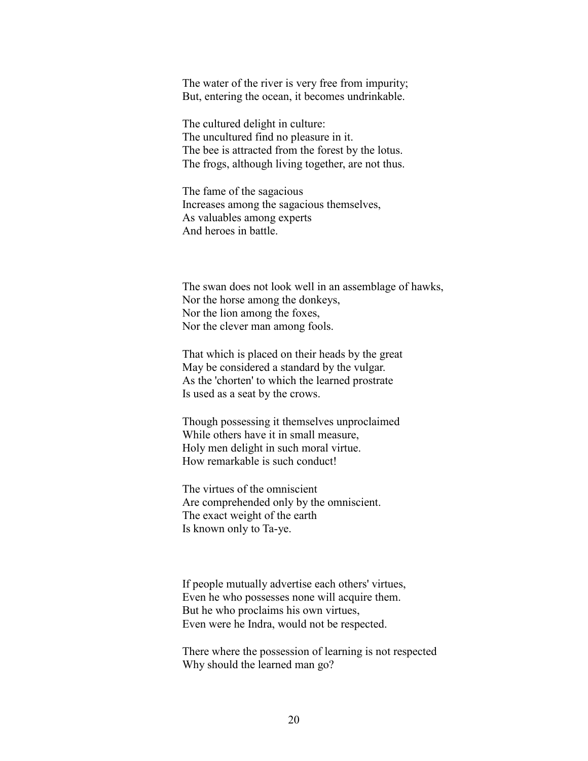The water of the river is very free from impurity; But, entering the ocean, it becomes undrinkable.

The cultured delight in culture: The uncultured find no pleasure in it. The bee is attracted from the forest by the lotus. The frogs, although living together, are not thus.

The fame of the sagacious Increases among the sagacious themselves, As valuables among experts And heroes in battle.

The swan does not look well in an assemblage of hawks, Nor the horse among the donkeys, Nor the lion among the foxes, Nor the clever man among fools.

That which is placed on their heads by the great May be considered a standard by the vulgar. As the 'chorten' to which the learned prostrate Is used as a seat by the crows.

Though possessing it themselves unproclaimed While others have it in small measure, Holy men delight in such moral virtue. How remarkable is such conduct!

The virtues of the omniscient Are comprehended only by the omniscient. The exact weight of the earth Is known only to Ta-ye.

If people mutually advertise each others' virtues, Even he who possesses none will acquire them. But he who proclaims his own virtues, Even were he Indra, would not be respected.

There where the possession of learning is not respected Why should the learned man go?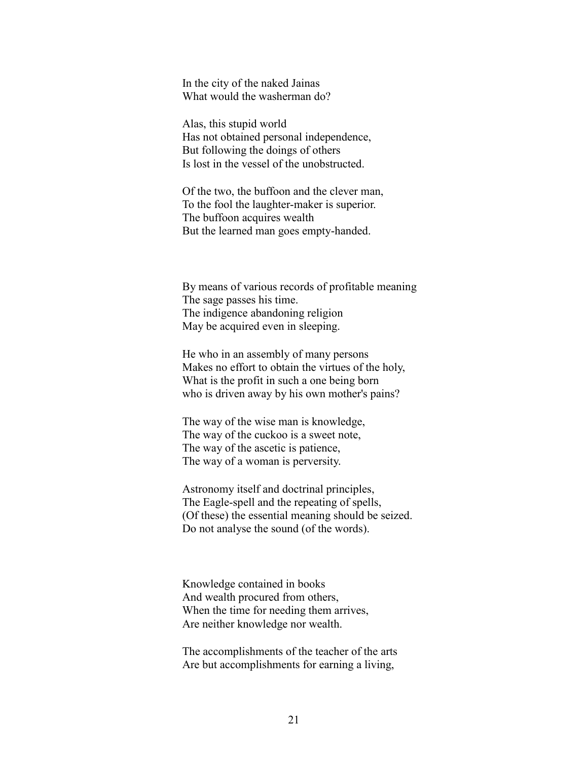In the city of the naked Jainas What would the washerman do?

Alas, this stupid world Has not obtained personal independence, But following the doings of others Is lost in the vessel of the unobstructed.

Of the two, the buffoon and the clever man, To the fool the laughter-maker is superior. The buffoon acquires wealth But the learned man goes empty-handed.

By means of various records of profitable meaning The sage passes his time. The indigence abandoning religion May be acquired even in sleeping.

He who in an assembly of many persons Makes no effort to obtain the virtues of the holy, What is the profit in such a one being born who is driven away by his own mother's pains?

The way of the wise man is knowledge, The way of the cuckoo is a sweet note, The way of the ascetic is patience, The way of a woman is perversity.

Astronomy itself and doctrinal principles, The Eagle-spell and the repeating of spells, (Of these) the essential meaning should be seized. Do not analyse the sound (of the words).

Knowledge contained in books And wealth procured from others, When the time for needing them arrives, Are neither knowledge nor wealth.

The accomplishments of the teacher of the arts Are but accomplishments for earning a living,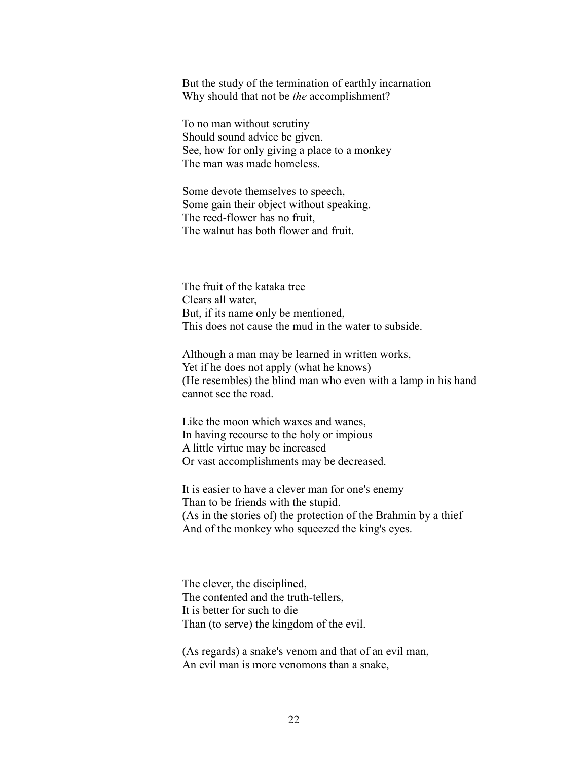But the study of the termination of earthly incarnation Why should that not be *the* accomplishment?

To no man without scrutiny Should sound advice be given. See, how for only giving a place to a monkey The man was made homeless.

Some devote themselves to speech, Some gain their object without speaking. The reed-flower has no fruit, The walnut has both flower and fruit.

The fruit of the kataka tree Clears all water, But, if its name only be mentioned, This does not cause the mud in the water to subside.

Although a man may be learned in written works, Yet if he does not apply (what he knows) (He resembles) the blind man who even with a lamp in his hand cannot see the road.

Like the moon which waxes and wanes, In having recourse to the holy or impious A little virtue may be increased Or vast accomplishments may be decreased.

It is easier to have a clever man for one's enemy Than to be friends with the stupid. (As in the stories of) the protection of the Brahmin by a thief And of the monkey who squeezed the king's eyes.

The clever, the disciplined, The contented and the truth-tellers, It is better for such to die Than (to serve) the kingdom of the evil.

(As regards) a snake's venom and that of an evil man, An evil man is more venomons than a snake,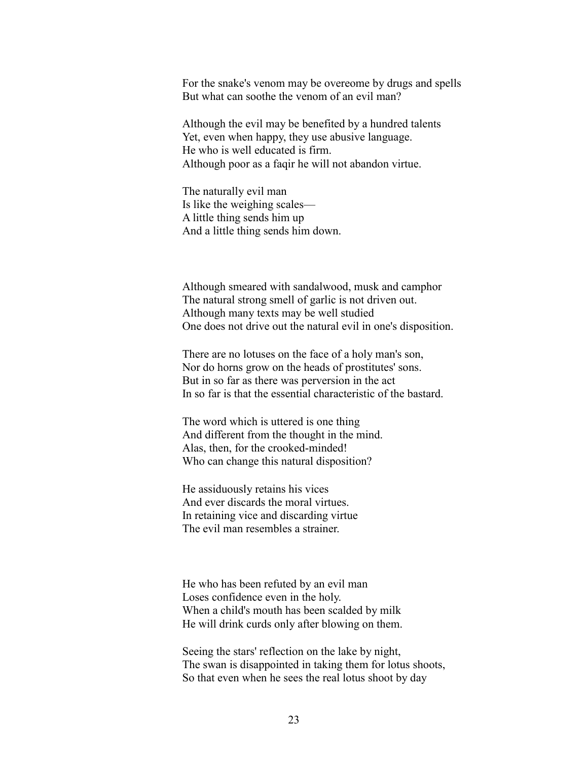For the snake's venom may be overeome by drugs and spells But what can soothe the venom of an evil man?

Although the evil may be benefited by a hundred talents Yet, even when happy, they use abusive language. He who is well educated is firm. Although poor as a faqir he will not abandon virtue.

The naturally evil man Is like the weighing scales— A little thing sends him up And a little thing sends him down.

Although smeared with sandalwood, musk and camphor The natural strong smell of garlic is not driven out. Although many texts may be well studied One does not drive out the natural evil in one's disposition.

There are no lotuses on the face of a holy man's son, Nor do horns grow on the heads of prostitutes' sons. But in so far as there was perversion in the act In so far is that the essential characteristic of the bastard.

The word which is uttered is one thing And different from the thought in the mind. Alas, then, for the crooked-minded! Who can change this natural disposition?

He assiduously retains his vices And ever discards the moral virtues. In retaining vice and discarding virtue The evil man resembles a strainer.

He who has been refuted by an evil man Loses confidence even in the holy. When a child's mouth has been scalded by milk He will drink curds only after blowing on them.

Seeing the stars' reflection on the lake by night, The swan is disappointed in taking them for lotus shoots, So that even when he sees the real lotus shoot by day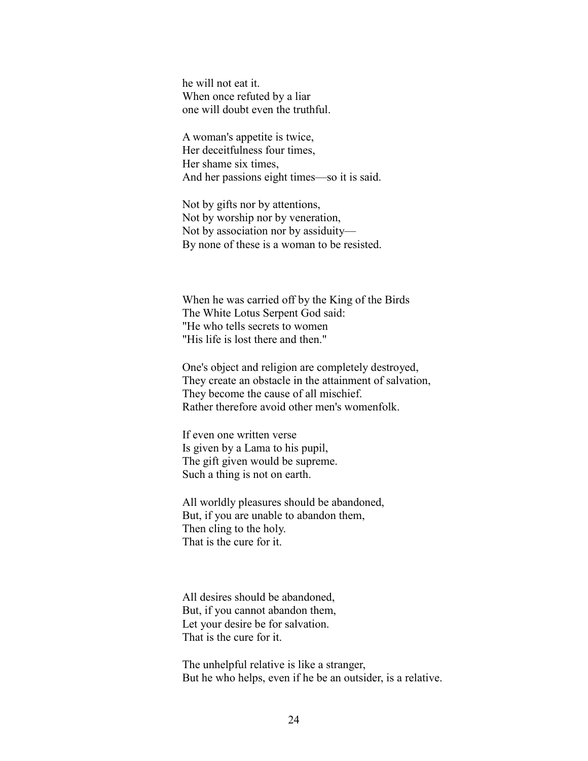he will not eat it. When once refuted by a liar one will doubt even the truthful.

A woman's appetite is twice, Her deceitfulness four times, Her shame six times, And her passions eight times—so it is said.

Not by gifts nor by attentions, Not by worship nor by veneration, Not by association nor by assiduity— By none of these is a woman to be resisted.

When he was carried off by the King of the Birds The White Lotus Serpent God said: "He who tells secrets to women "His life is lost there and then."

One's object and religion are completely destroyed, They create an obstacle in the attainment of salvation, They become the cause of all mischief. Rather therefore avoid other men's womenfolk.

If even one written verse Is given by a Lama to his pupil, The gift given would be supreme. Such a thing is not on earth.

All worldly pleasures should be abandoned, But, if you are unable to abandon them, Then cling to the holy. That is the cure for it.

All desires should be abandoned, But, if you cannot abandon them, Let your desire be for salvation. That is the cure for it.

The unhelpful relative is like a stranger, But he who helps, even if he be an outsider, is a relative.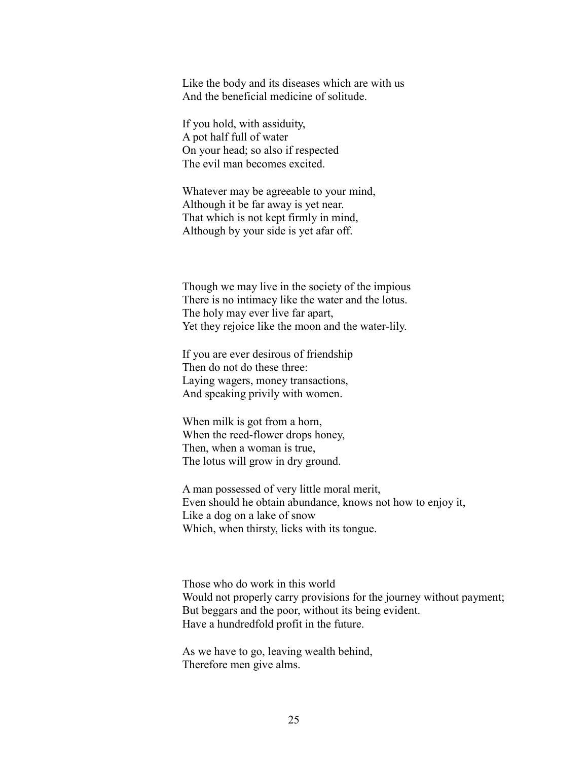Like the body and its diseases which are with us And the beneficial medicine of solitude.

If you hold, with assiduity, A pot half full of water On your head; so also if respected The evil man becomes excited.

Whatever may be agreeable to your mind, Although it be far away is yet near. That which is not kept firmly in mind, Although by your side is yet afar off.

Though we may live in the society of the impious There is no intimacy like the water and the lotus. The holy may ever live far apart, Yet they rejoice like the moon and the water-lily.

If you are ever desirous of friendship Then do not do these three: Laying wagers, money transactions, And speaking privily with women.

When milk is got from a horn, When the reed-flower drops honey, Then, when a woman is true, The lotus will grow in dry ground.

A man possessed of very little moral merit, Even should he obtain abundance, knows not how to enjoy it, Like a dog on a lake of snow Which, when thirsty, licks with its tongue.

Those who do work in this world Would not properly carry provisions for the journey without payment; But beggars and the poor, without its being evident. Have a hundredfold profit in the future.

As we have to go, leaving wealth behind, Therefore men give alms.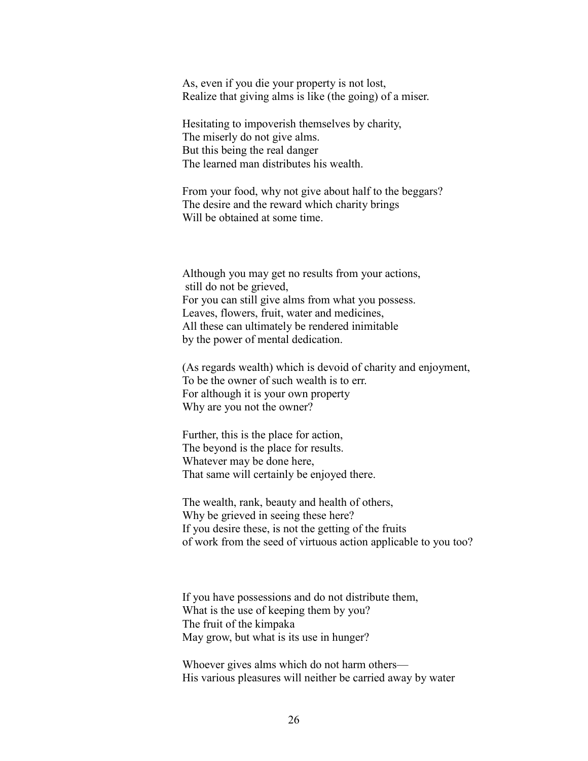As, even if you die your property is not lost, Realize that giving alms is like (the going) of a miser.

Hesitating to impoverish themselves by charity, The miserly do not give alms. But this being the real danger The learned man distributes his wealth.

From your food, why not give about half to the beggars? The desire and the reward which charity brings Will be obtained at some time.

Although you may get no results from your actions, still do not be grieved, For you can still give alms from what you possess. Leaves, flowers, fruit, water and medicines, All these can ultimately be rendered inimitable by the power of mental dedication.

(As regards wealth) which is devoid of charity and enjoyment, To be the owner of such wealth is to err. For although it is your own property Why are you not the owner?

Further, this is the place for action, The beyond is the place for results. Whatever may be done here, That same will certainly be enjoyed there.

The wealth, rank, beauty and health of others, Why be grieved in seeing these here? If you desire these, is not the getting of the fruits of work from the seed of virtuous action applicable to you too?

If you have possessions and do not distribute them, What is the use of keeping them by you? The fruit of the kimpaka May grow, but what is its use in hunger?

Whoever gives alms which do not harm others— His various pleasures will neither be carried away by water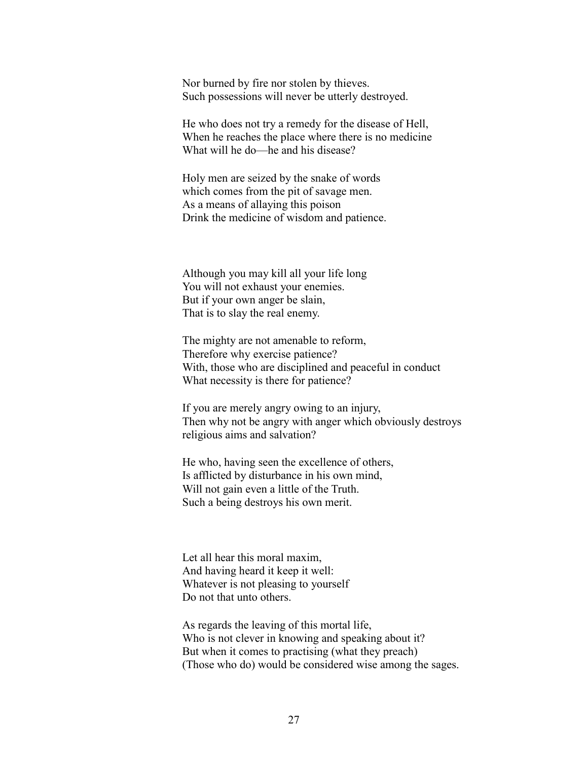Nor burned by fire nor stolen by thieves. Such possessions will never be utterly destroyed.

He who does not try a remedy for the disease of Hell, When he reaches the place where there is no medicine What will he do—he and his disease?

Holy men are seized by the snake of words which comes from the pit of savage men. As a means of allaying this poison Drink the medicine of wisdom and patience.

Although you may kill all your life long You will not exhaust your enemies. But if your own anger be slain, That is to slay the real enemy.

The mighty are not amenable to reform, Therefore why exercise patience? With, those who are disciplined and peaceful in conduct What necessity is there for patience?

If you are merely angry owing to an injury, Then why not be angry with anger which obviously destroys religious aims and salvation?

He who, having seen the excellence of others, Is afflicted by disturbance in his own mind, Will not gain even a little of the Truth. Such a being destroys his own merit.

Let all hear this moral maxim, And having heard it keep it well: Whatever is not pleasing to yourself Do not that unto others.

As regards the leaving of this mortal life, Who is not clever in knowing and speaking about it? But when it comes to practising (what they preach) (Those who do) would be considered wise among the sages.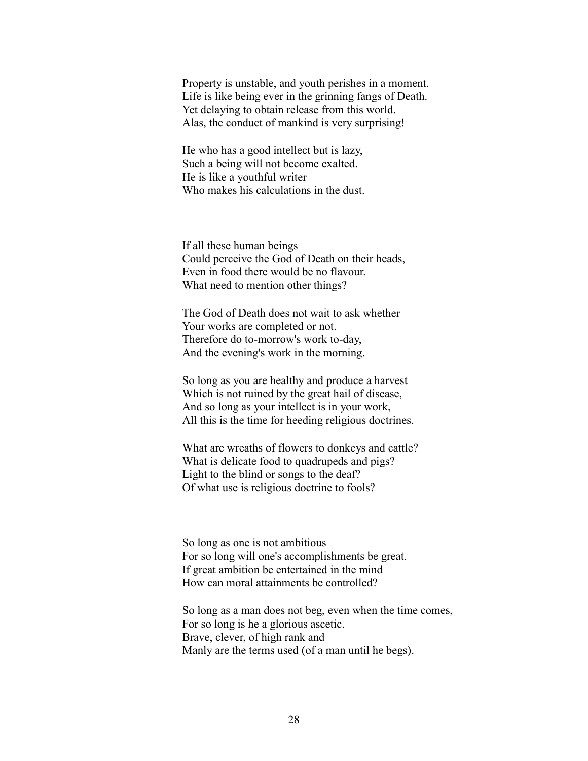Property is unstable, and youth perishes in a moment. Life is like being ever in the grinning fangs of Death. Yet delaying to obtain release from this world. Alas, the conduct of mankind is very surprising!

He who has a good intellect but is lazy, Such a being will not become exalted. He is like a youthful writer Who makes his calculations in the dust.

If all these human beings Could perceive the God of Death on their heads, Even in food there would be no flavour. What need to mention other things?

The God of Death does not wait to ask whether Your works are completed or not. Therefore do to-morrow's work to-day, And the evening's work in the morning.

So long as you are healthy and produce a harvest Which is not ruined by the great hail of disease, And so long as your intellect is in your work, All this is the time for heeding religious doctrines.

What are wreaths of flowers to donkeys and cattle? What is delicate food to quadrupeds and pigs? Light to the blind or songs to the deaf? Of what use is religious doctrine to fools?

So long as one is not ambitious For so long will one's accomplishments be great. If great ambition be entertained in the mind How can moral attainments be controlled?

So long as a man does not beg, even when the time comes, For so long is he a glorious ascetic. Brave, clever, of high rank and Manly are the terms used (of a man until he begs).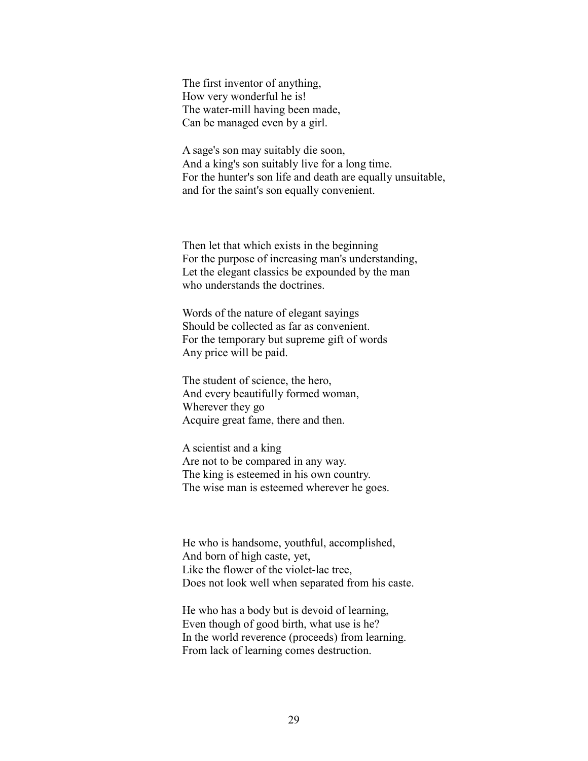The first inventor of anything, How very wonderful he is! The water-mill having been made, Can be managed even by a girl.

A sage's son may suitably die soon, And a king's son suitably live for a long time. For the hunter's son life and death are equally unsuitable, and for the saint's son equally convenient.

Then let that which exists in the beginning For the purpose of increasing man's understanding, Let the elegant classics be expounded by the man who understands the doctrines.

Words of the nature of elegant sayings Should be collected as far as convenient. For the temporary but supreme gift of words Any price will be paid.

The student of science, the hero, And every beautifully formed woman, Wherever they go Acquire great fame, there and then.

A scientist and a king Are not to be compared in any way. The king is esteemed in his own country. The wise man is esteemed wherever he goes.

He who is handsome, youthful, accomplished, And born of high caste, yet, Like the flower of the violet-lac tree, Does not look well when separated from his caste.

He who has a body but is devoid of learning, Even though of good birth, what use is he? In the world reverence (proceeds) from learning. From lack of learning comes destruction.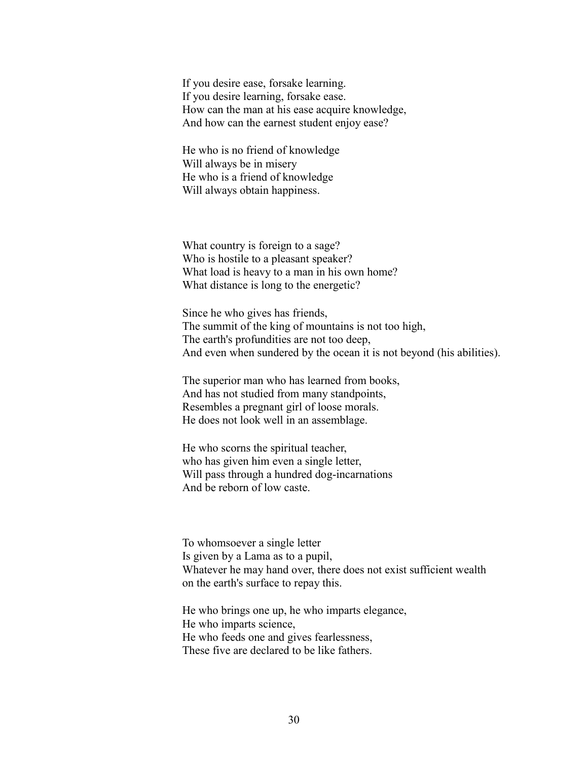If you desire ease, forsake learning. If you desire learning, forsake ease. How can the man at his ease acquire knowledge, And how can the earnest student enjoy ease?

He who is no friend of knowledge Will always be in misery He who is a friend of knowledge Will always obtain happiness.

What country is foreign to a sage? Who is hostile to a pleasant speaker? What load is heavy to a man in his own home? What distance is long to the energetic?

Since he who gives has friends, The summit of the king of mountains is not too high, The earth's profundities are not too deep, And even when sundered by the ocean it is not beyond (his abilities).

The superior man who has learned from books, And has not studied from many standpoints, Resembles a pregnant girl of loose morals. He does not look well in an assemblage.

He who scorns the spiritual teacher, who has given him even a single letter, Will pass through a hundred dog-incarnations And be reborn of low caste.

To whomsoever a single letter Is given by a Lama as to a pupil, Whatever he may hand over, there does not exist sufficient wealth on the earth's surface to repay this.

He who brings one up, he who imparts elegance, He who imparts science, He who feeds one and gives fearlessness, These five are declared to be like fathers.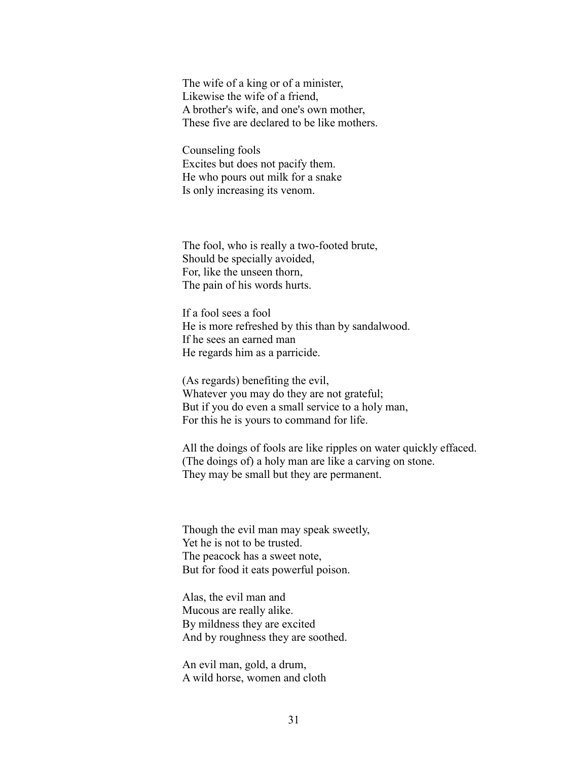The wife of a king or of a minister, Likewise the wife of a friend, A brother's wife, and one's own mother, These five are declared to be like mothers.

Counseling fools Excites but does not pacify them. He who pours out milk for a snake Is only increasing its venom.

The fool, who is really a two-footed brute, Should be specially avoided, For, like the unseen thorn, The pain of his words hurts.

If a fool sees a fool He is more refreshed by this than by sandalwood. If he sees an earned man He regards him as a parricide.

(As regards) benefiting the evil, Whatever you may do they are not grateful; But if you do even a small service to a holy man, For this he is yours to command for life.

All the doings of fools are like ripples on water quickly effaced. (The doings of) a holy man are like a carving on stone. They may be small but they are permanent.

Though the evil man may speak sweetly, Yet he is not to be trusted. The peacock has a sweet note, But for food it eats powerful poison.

Alas, the evil man and Mucous are really alike. By mildness they are excited And by roughness they are soothed.

An evil man, gold, a drum, A wild horse, women and cloth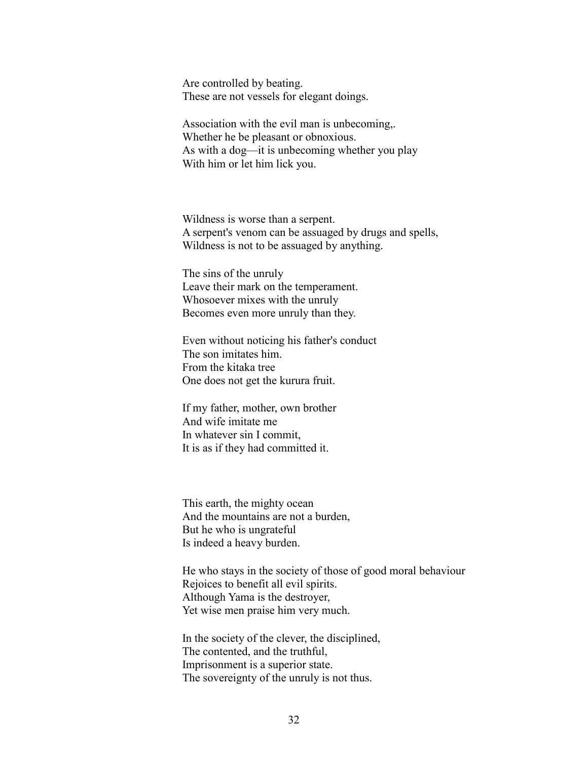Are controlled by beating. These are not vessels for elegant doings.

Association with the evil man is unbecoming,. Whether he be pleasant or obnoxious. As with a dog—it is unbecoming whether you play With him or let him lick you.

Wildness is worse than a serpent. A serpent's venom can be assuaged by drugs and spells, Wildness is not to be assuaged by anything.

The sins of the unruly Leave their mark on the temperament. Whosoever mixes with the unruly Becomes even more unruly than they.

Even without noticing his father's conduct The son imitates him. From the kitaka tree One does not get the kurura fruit.

If my father, mother, own brother And wife imitate me In whatever sin I commit, It is as if they had committed it.

This earth, the mighty ocean And the mountains are not a burden, But he who is ungrateful Is indeed a heavy burden.

He who stays in the society of those of good moral behaviour Rejoices to benefit all evil spirits. Although Yama is the destroyer, Yet wise men praise him very much.

In the society of the clever, the disciplined, The contented, and the truthful, Imprisonment is a superior state. The sovereignty of the unruly is not thus.